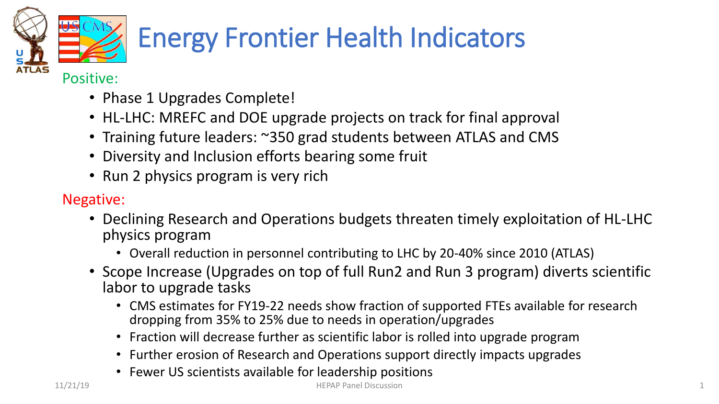

# Energy Frontier Health Indicators

#### Positive:

- Phase 1 Upgrades Complete!
- HL-LHC: MREFC and DOE upgrade projects on track for final approval
- Training future leaders: ~350 grad students between ATLAS and CMS
- Diversity and Inclusion efforts bearing some fruit
- Run 2 physics program is very rich

#### Negative:

- Declining Research and Operations budgets threaten timely exploitation of HL-LHC physics program
	- Overall reduction in personnel contributing to LHC by 20-40% since 2010 (ATLAS)
- Scope Increase (Upgrades on top of full Run2 and Run 3 program) diverts scientific labor to upgrade tasks
	- CMS estimates for FY19-22 needs show fraction of supported FTEs available for research dropping from 35% to 25% due to needs in operation/upgrades
	- Fraction will decrease further as scientific labor is rolled into upgrade program
	- Further erosion of Research and Operations support directly impacts upgrades
	- Fewer US scientists available for leadership positions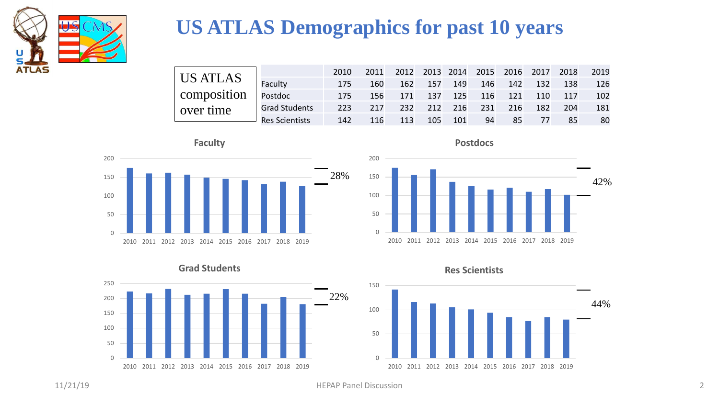

### **US ATLAS Demographics for past 10 years**

| $\parallel$ US ATLAS $\parallel$ Faculty |                | 2010 |     | 2011 2012 2013 2014 2015 2016 2017 2018 2019 |         |     |                     |    |     |                             |     |
|------------------------------------------|----------------|------|-----|----------------------------------------------|---------|-----|---------------------|----|-----|-----------------------------|-----|
|                                          |                | 175  | 160 |                                              | 162 157 | 149 |                     |    |     | 146 142 132 138             | 126 |
| composition   Postdoc                    |                | 175  | 156 |                                              |         |     |                     |    |     | 171 137 125 116 121 110 117 | 102 |
| over time                                | Grad Students  | 223  | 217 |                                              |         |     | 232 212 216 231 216 |    | 182 | 204                         | 181 |
|                                          | Res Scientists | 142  | 116 | 113                                          | 105     | 101 | 94                  | 85 | 77  | 85                          | 80  |











**Res Scientists**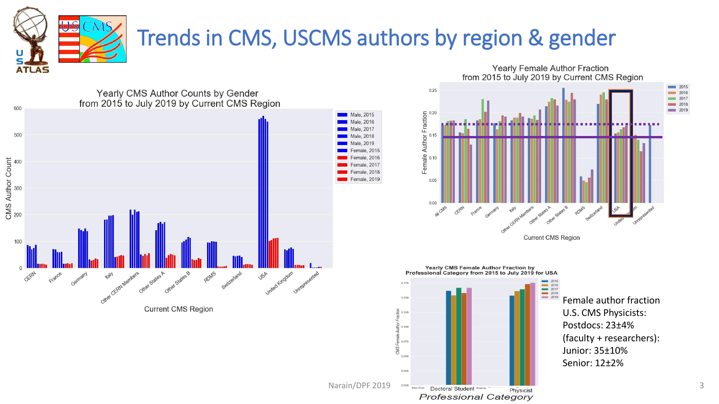

## Trends in CMS, USCMS authors by region & gender

Yearly Female Author Fraction

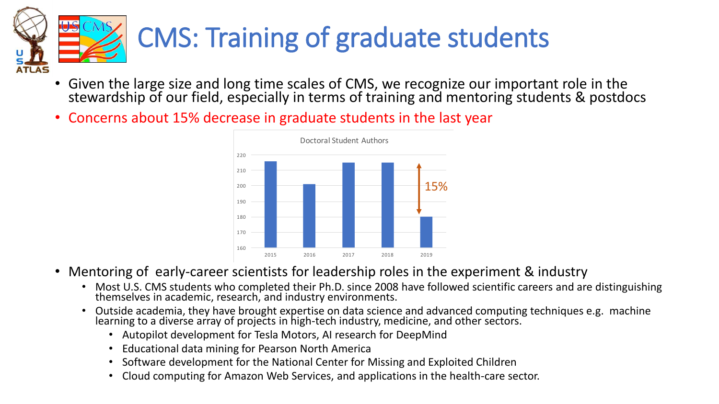

- Given the large size and long time scales of CMS, we recognize our important role in the stewardship of our field, especially in terms of training and mentoring students & postdocs
- Concerns about 15% decrease in graduate students in the last year



- Mentoring of early-career scientists for leadership roles in the experiment & industry
	- Most U.S. CMS students who completed their Ph.D. since 2008 have followed scientific careers and are distinguishing themselves in academic, research, and industry environments.
	- Outside academia, they have brought expertise on data science and advanced computing techniques e.g. machine learning to a diverse array of projects in high-tech industry, medicine, and other sectors.
		- Autopilot development for Tesla Motors, AI research for DeepMind
		- Educational data mining for Pearson North America
		- Software development for the National Center for Missing and Exploited Children
		- Cloud computing for Amazon Web Services, and applications in the health-care sector.